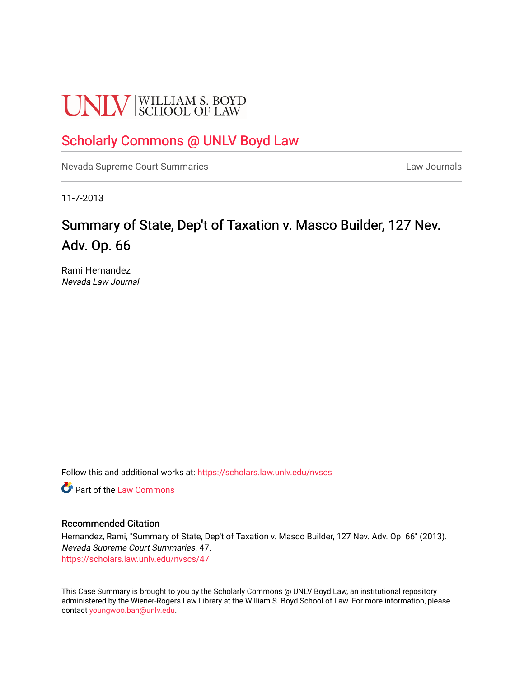# **UNLV** SCHOOL OF LAW

# [Scholarly Commons @ UNLV Boyd Law](https://scholars.law.unlv.edu/)

[Nevada Supreme Court Summaries](https://scholars.law.unlv.edu/nvscs) **Law Journals** Law Journals

11-7-2013

# Summary of State, Dep't of Taxation v. Masco Builder, 127 Nev. Adv. Op. 66

Rami Hernandez Nevada Law Journal

Follow this and additional works at: [https://scholars.law.unlv.edu/nvscs](https://scholars.law.unlv.edu/nvscs?utm_source=scholars.law.unlv.edu%2Fnvscs%2F47&utm_medium=PDF&utm_campaign=PDFCoverPages)

**C** Part of the [Law Commons](http://network.bepress.com/hgg/discipline/578?utm_source=scholars.law.unlv.edu%2Fnvscs%2F47&utm_medium=PDF&utm_campaign=PDFCoverPages)

#### Recommended Citation

Hernandez, Rami, "Summary of State, Dep't of Taxation v. Masco Builder, 127 Nev. Adv. Op. 66" (2013). Nevada Supreme Court Summaries. 47. [https://scholars.law.unlv.edu/nvscs/47](https://scholars.law.unlv.edu/nvscs/47?utm_source=scholars.law.unlv.edu%2Fnvscs%2F47&utm_medium=PDF&utm_campaign=PDFCoverPages) 

This Case Summary is brought to you by the Scholarly Commons @ UNLV Boyd Law, an institutional repository administered by the Wiener-Rogers Law Library at the William S. Boyd School of Law. For more information, please contact [youngwoo.ban@unlv.edu](mailto:youngwoo.ban@unlv.edu).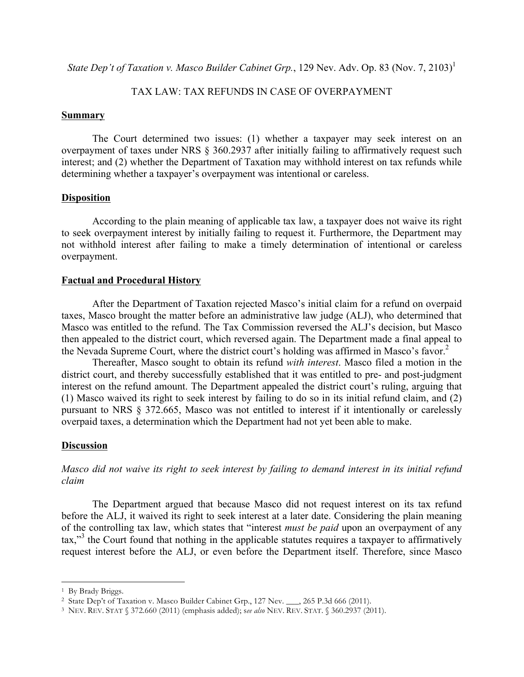*State Dep't of Taxation v. Masco Builder Cabinet Grp.*, 129 Nev. Adv. Op. 83 (Nov. 7, 2103)<sup>1</sup>

## TAX LAW: TAX REFUNDS IN CASE OF OVERPAYMENT

#### **Summary**

The Court determined two issues: (1) whether a taxpayer may seek interest on an overpayment of taxes under NRS § 360.2937 after initially failing to affirmatively request such interest; and (2) whether the Department of Taxation may withhold interest on tax refunds while determining whether a taxpayer's overpayment was intentional or careless.

#### **Disposition**

According to the plain meaning of applicable tax law, a taxpayer does not waive its right to seek overpayment interest by initially failing to request it. Furthermore, the Department may not withhold interest after failing to make a timely determination of intentional or careless overpayment.

#### **Factual and Procedural History**

After the Department of Taxation rejected Masco's initial claim for a refund on overpaid taxes, Masco brought the matter before an administrative law judge (ALJ), who determined that Masco was entitled to the refund. The Tax Commission reversed the ALJ's decision, but Masco then appealed to the district court, which reversed again. The Department made a final appeal to the Nevada Supreme Court, where the district court's holding was affirmed in Masco's favor. 2

Thereafter, Masco sought to obtain its refund *with interest*. Masco filed a motion in the district court, and thereby successfully established that it was entitled to pre- and post-judgment interest on the refund amount. The Department appealed the district court's ruling, arguing that (1) Masco waived its right to seek interest by failing to do so in its initial refund claim, and (2) pursuant to NRS § 372.665, Masco was not entitled to interest if it intentionally or carelessly overpaid taxes, a determination which the Department had not yet been able to make.

#### **Discussion**

*Masco did not waive its right to seek interest by failing to demand interest in its initial refund claim*

The Department argued that because Masco did not request interest on its tax refund before the ALJ, it waived its right to seek interest at a later date. Considering the plain meaning of the controlling tax law, which states that "interest *must be paid* upon an overpayment of any tax,<sup>33</sup> the Court found that nothing in the applicable statutes requires a taxpayer to affirmatively request interest before the ALJ, or even before the Department itself. Therefore, since Masco

<sup>&</sup>lt;sup>1</sup> By Brady Briggs.

<sup>&</sup>lt;sup>2</sup> State Dep't of Taxation v. Masco Builder Cabinet Grp., 127 Nev. \_\_\_, 265 P.3d 666 (2011).

<sup>3</sup> NEV. REV. STAT § 372.660 (2011) (emphasis added); s*ee also* NEV. REV. STAT. § 360.2937 (2011).